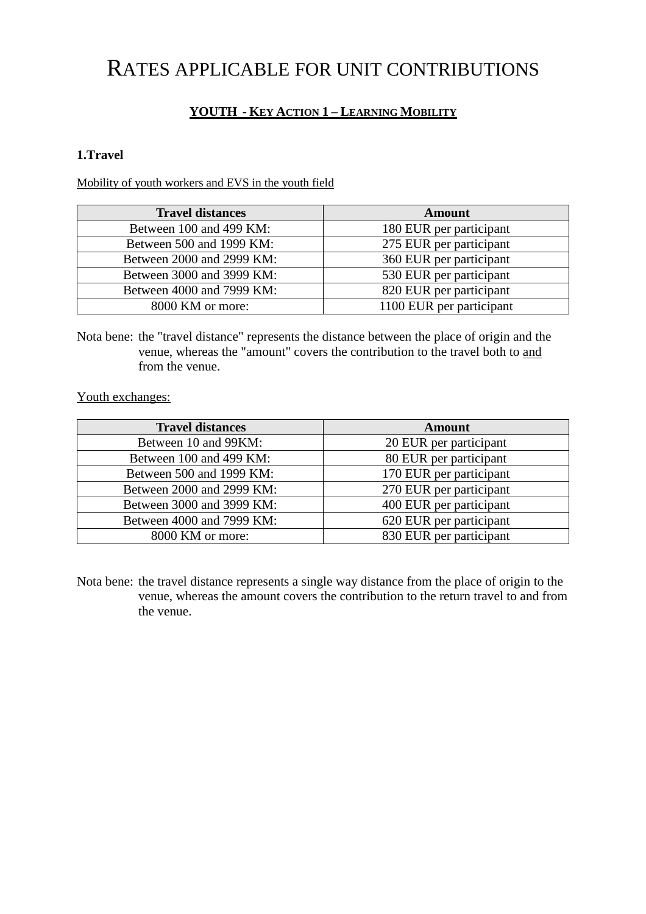# RATES APPLICABLE FOR UNIT CONTRIBUTIONS

#### **YOUTH - KEY ACTION 1 – LEARNING MOBILITY**

#### **1.Travel**

Mobility of youth workers and EVS in the youth field

| <b>Travel distances</b>   | Amount                   |  |
|---------------------------|--------------------------|--|
| Between 100 and 499 KM:   | 180 EUR per participant  |  |
| Between 500 and 1999 KM:  | 275 EUR per participant  |  |
| Between 2000 and 2999 KM: | 360 EUR per participant  |  |
| Between 3000 and 3999 KM: | 530 EUR per participant  |  |
| Between 4000 and 7999 KM: | 820 EUR per participant  |  |
| 8000 KM or more:          | 1100 EUR per participant |  |

Nota bene: the "travel distance" represents the distance between the place of origin and the venue, whereas the "amount" covers the contribution to the travel both to and from the venue.

Youth exchanges:

| <b>Travel distances</b>   | Amount                  |  |
|---------------------------|-------------------------|--|
| Between 10 and 99KM:      | 20 EUR per participant  |  |
| Between 100 and 499 KM:   | 80 EUR per participant  |  |
| Between 500 and 1999 KM:  | 170 EUR per participant |  |
| Between 2000 and 2999 KM: | 270 EUR per participant |  |
| Between 3000 and 3999 KM: | 400 EUR per participant |  |
| Between 4000 and 7999 KM: | 620 EUR per participant |  |
| 8000 KM or more:          | 830 EUR per participant |  |

Nota bene: the travel distance represents a single way distance from the place of origin to the venue, whereas the amount covers the contribution to the return travel to and from the venue.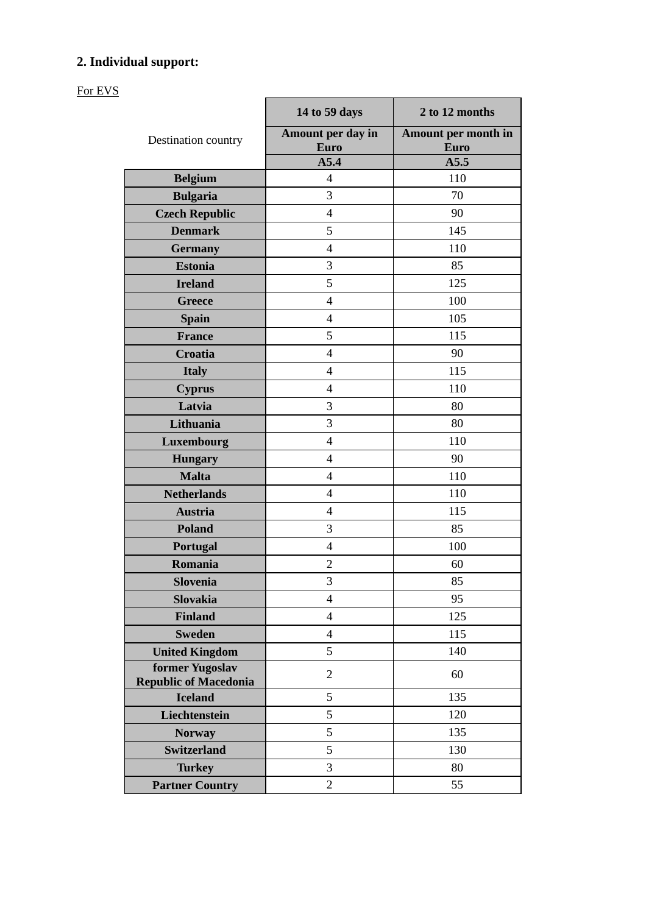## **2. Individual support:**

For EVS

|                                                 | 14 to 59 days                    | 2 to 12 months                     |
|-------------------------------------------------|----------------------------------|------------------------------------|
| Destination country                             | Amount per day in<br><b>Euro</b> | Amount per month in<br><b>Euro</b> |
|                                                 | A5.4                             | A5.5                               |
| <b>Belgium</b>                                  | 4                                | 110                                |
| <b>Bulgaria</b>                                 | 3                                | 70                                 |
| <b>Czech Republic</b>                           | $\overline{4}$                   | 90                                 |
| <b>Denmark</b>                                  | 5                                | 145                                |
| <b>Germany</b>                                  | $\overline{4}$                   | 110                                |
| <b>Estonia</b>                                  | 3                                | 85                                 |
| <b>Ireland</b>                                  | 5                                | 125                                |
| <b>Greece</b>                                   | 4                                | 100                                |
| <b>Spain</b>                                    | 4                                | 105                                |
| <b>France</b>                                   | 5                                | 115                                |
| <b>Croatia</b>                                  | $\overline{4}$                   | 90                                 |
| <b>Italy</b>                                    | 4                                | 115                                |
| <b>Cyprus</b>                                   | 4                                | 110                                |
| Latvia                                          | 3                                | 80                                 |
| Lithuania                                       | 3                                | 80                                 |
| Luxembourg                                      | $\overline{4}$                   | 110                                |
| <b>Hungary</b>                                  | 4                                | 90                                 |
| <b>Malta</b>                                    | $\overline{4}$                   | 110                                |
| <b>Netherlands</b>                              | $\overline{4}$                   | 110                                |
| <b>Austria</b>                                  | $\overline{4}$                   | 115                                |
| <b>Poland</b>                                   | 3                                | 85                                 |
| Portugal                                        | $\overline{4}$                   | 100                                |
| Romania                                         | $\overline{c}$                   | 60                                 |
| Slovenia                                        | 3                                | 85                                 |
| Slovakia                                        | $\overline{4}$                   | 95                                 |
| <b>Finland</b>                                  | $\overline{4}$                   | 125                                |
| <b>Sweden</b>                                   | $\overline{4}$                   | 115                                |
| <b>United Kingdom</b>                           | 5                                | 140                                |
| former Yugoslav<br><b>Republic of Macedonia</b> | $\overline{2}$                   | 60                                 |
| <b>Iceland</b>                                  | 5                                | 135                                |
| Liechtenstein                                   | 5                                | 120                                |
| <b>Norway</b>                                   | 5                                | 135                                |
| <b>Switzerland</b>                              | 5                                | 130                                |
| <b>Turkey</b>                                   | 3                                | 80                                 |
| <b>Partner Country</b>                          | $\overline{2}$                   | 55                                 |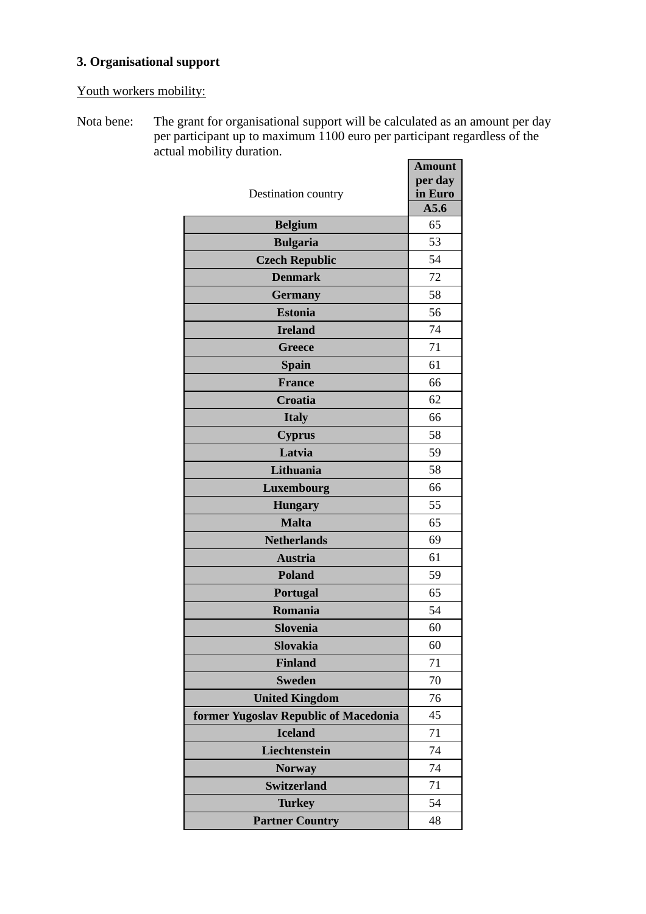## **3. Organisational support**

Youth workers mobility:

Nota bene: The grant for organisational support will be calculated as an amount per day per participant up to maximum 1100 euro per participant regardless of the actual mobility duration.

|                                       | <b>Amount</b>   |
|---------------------------------------|-----------------|
|                                       | per day         |
| Destination country                   | in Euro<br>A5.6 |
| <b>Belgium</b>                        | 65              |
| <b>Bulgaria</b>                       | 53              |
| <b>Czech Republic</b>                 | 54              |
| <b>Denmark</b>                        | 72              |
| <b>Germany</b>                        | 58              |
| <b>Estonia</b>                        | 56              |
| <b>Ireland</b>                        | 74              |
| Greece                                | 71              |
| <b>Spain</b>                          | 61              |
| <b>France</b>                         | 66              |
| Croatia                               | 62              |
| <b>Italy</b>                          | 66              |
| <b>Cyprus</b>                         | 58              |
| Latvia                                | 59              |
| Lithuania                             | 58              |
| Luxembourg                            | 66              |
| <b>Hungary</b>                        | 55              |
| <b>Malta</b>                          | 65              |
| <b>Netherlands</b>                    | 69              |
| <b>Austria</b>                        | 61              |
| <b>Poland</b>                         | 59              |
| Portugal                              | 65              |
| Romania                               | 54              |
| <b>Slovenia</b>                       | 60              |
| <b>Slovakia</b>                       | 60              |
| <b>Finland</b>                        | 71              |
| <b>Sweden</b>                         | 70              |
| <b>United Kingdom</b>                 | 76              |
| former Yugoslav Republic of Macedonia | 45              |
| <b>Iceland</b>                        | 71              |
| Liechtenstein                         | 74              |
| <b>Norway</b>                         | 74              |
| <b>Switzerland</b>                    | 71              |
| <b>Turkey</b>                         | 54              |
| <b>Partner Country</b>                | 48              |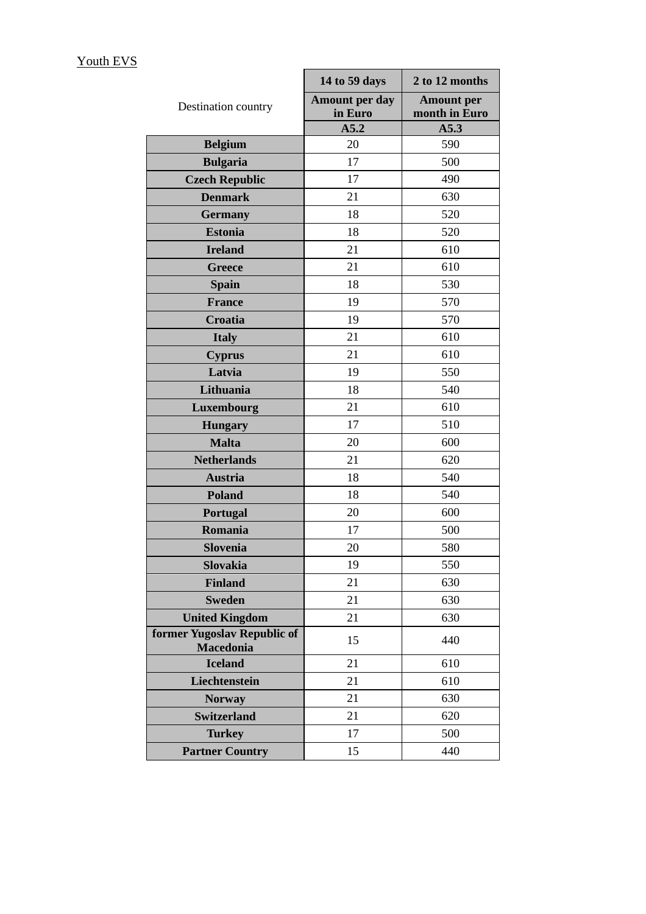|                                                 | 14 to 59 days                    | 2 to 12 months                     |
|-------------------------------------------------|----------------------------------|------------------------------------|
| Destination country                             | <b>Amount per day</b><br>in Euro | <b>Amount per</b><br>month in Euro |
|                                                 | A5.2                             | A5.3                               |
| <b>Belgium</b>                                  | 20                               | 590                                |
| <b>Bulgaria</b>                                 | 17                               | 500                                |
| <b>Czech Republic</b>                           | 17                               | 490                                |
| <b>Denmark</b>                                  | 21                               | 630                                |
| <b>Germany</b>                                  | 18                               | 520                                |
| <b>Estonia</b>                                  | 18                               | 520                                |
| <b>Ireland</b>                                  | 21                               | 610                                |
| <b>Greece</b>                                   | 21                               | 610                                |
| <b>Spain</b>                                    | 18                               | 530                                |
| <b>France</b>                                   | 19                               | 570                                |
| <b>Croatia</b>                                  | 19                               | 570                                |
| <b>Italy</b>                                    | 21                               | 610                                |
| <b>Cyprus</b>                                   | 21                               | 610                                |
| Latvia                                          | 19                               | 550                                |
| Lithuania                                       | 18                               | 540                                |
| Luxembourg                                      | 21                               | 610                                |
| <b>Hungary</b>                                  | 17                               | 510                                |
| <b>Malta</b>                                    | 20                               | 600                                |
| <b>Netherlands</b>                              | 21                               | 620                                |
| <b>Austria</b>                                  | 18                               | 540                                |
| <b>Poland</b>                                   | 18                               | 540                                |
| <b>Portugal</b>                                 | 20                               | 600                                |
| Romania                                         | 17                               | 500                                |
| Slovenia                                        | 20                               | 580                                |
| <b>Slovakia</b>                                 | 19                               | 550                                |
| <b>Finland</b>                                  | 21                               | 630                                |
| <b>Sweden</b>                                   | 21                               | 630                                |
| <b>United Kingdom</b>                           | 21                               | 630                                |
| former Yugoslav Republic of<br><b>Macedonia</b> | 15                               | 440                                |
| <b>Iceland</b>                                  | 21                               | 610                                |
| Liechtenstein                                   | 21                               | 610                                |
| <b>Norway</b>                                   | 21                               | 630                                |
| <b>Switzerland</b>                              | 21                               | 620                                |
| <b>Turkey</b>                                   | 17                               | 500                                |
| <b>Partner Country</b>                          | 15                               | 440                                |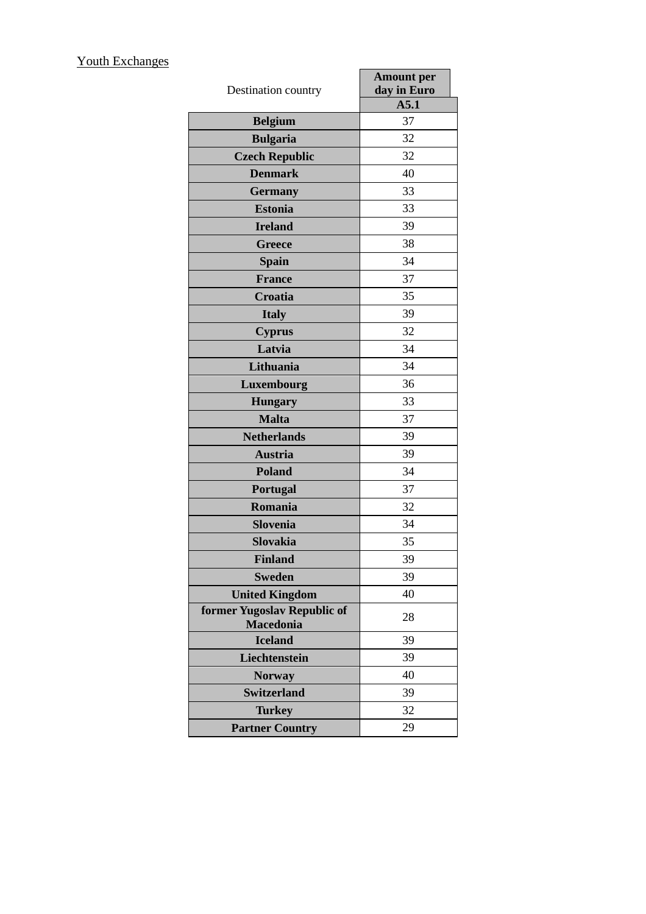## Youth Exchanges

| Destination country                             | <b>Amount per</b><br>day in Euro |
|-------------------------------------------------|----------------------------------|
|                                                 | A5.1                             |
| <b>Belgium</b>                                  | 37                               |
| <b>Bulgaria</b>                                 | 32                               |
| <b>Czech Republic</b>                           | 32                               |
| <b>Denmark</b>                                  | 40                               |
| <b>Germany</b>                                  | 33                               |
| <b>Estonia</b>                                  | 33                               |
| <b>Ireland</b>                                  | 39                               |
| <b>Greece</b>                                   | 38                               |
| <b>Spain</b>                                    | 34                               |
| <b>France</b>                                   | 37                               |
| <b>Croatia</b>                                  | 35                               |
| <b>Italy</b>                                    | 39                               |
| <b>Cyprus</b>                                   | 32                               |
| Latvia                                          | 34                               |
| Lithuania                                       | 34                               |
| Luxembourg                                      | 36                               |
| <b>Hungary</b>                                  | 33                               |
| <b>Malta</b>                                    | 37                               |
| <b>Netherlands</b>                              | 39                               |
| <b>Austria</b>                                  | 39                               |
| <b>Poland</b>                                   | 34                               |
| <b>Portugal</b>                                 | 37                               |
| Romania                                         | 32                               |
| <b>Slovenia</b>                                 | 34                               |
| <b>Slovakia</b>                                 | 35                               |
| <b>Finland</b>                                  | 39                               |
| <b>Sweden</b>                                   | 39                               |
| <b>United Kingdom</b>                           | 40                               |
| former Yugoslav Republic of<br><b>Macedonia</b> | 28                               |
| <b>Iceland</b>                                  | 39                               |
| Liechtenstein                                   | 39                               |
| <b>Norway</b>                                   | 40                               |
| <b>Switzerland</b>                              | 39                               |
| <b>Turkey</b>                                   | 32                               |
| <b>Partner Country</b>                          | 29                               |